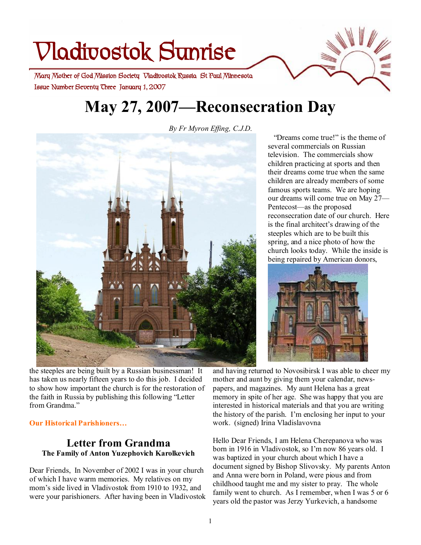# **Vladivostok Sunrise**

 **Issue Number Seventy Three January 1, 2007 Mary Mother of God Mission Society Vladivostok Russia St Paul Minnesota** 

# **May 27, 2007—Reconsecration Day**

*By Fr Myron Effing, C.J.D.*



the steeples are being built by a Russian businessman! It has taken us nearly fifteen years to do this job. I decided to show how important the church is for the restoration of the faith in Russia by publishing this following "Letter from Grandma."

#### **Our Historical Parishioners…**

#### **Letter from Grandma The Family of Anton Yuzephovich Karolkevich**

Dear Friends, In November of 2002 I was in your church of which I have warm memories. My relatives on my mom's side lived in Vladivostok from 1910 to 1932, and were your parishioners. After having been in Vladivostok

 "Dreams come true!" is the theme of several commercials on Russian television. The commercials show children practicing at sports and then their dreams come true when the same children are already members of some famous sports teams. We are hoping our dreams will come true on May 27— Pentecost—as the proposed reconsecration date of our church. Here is the final architect's drawing of the steeples which are to be built this spring, and a nice photo of how the church looks today. While the inside is being repaired by American donors,



and having returned to Novosibirsk I was able to cheer my mother and aunt by giving them your calendar, newspapers, and magazines. My aunt Helena has a great memory in spite of her age. She was happy that you are interested in historical materials and that you are writing the history of the parish. I'm enclosing her input to your work. (signed) Irina Vladislavovna

Hello Dear Friends, I am Helena Cherepanova who was born in 1916 in Vladivostok, so I'm now 86 years old. I was baptized in your church about which I have a document signed by Bishop Slivovsky. My parents Anton and Anna were born in Poland, were pious and from childhood taught me and my sister to pray. The whole family went to church. As I remember, when I was 5 or 6 years old the pastor was Jerzy Yurkevich, a handsome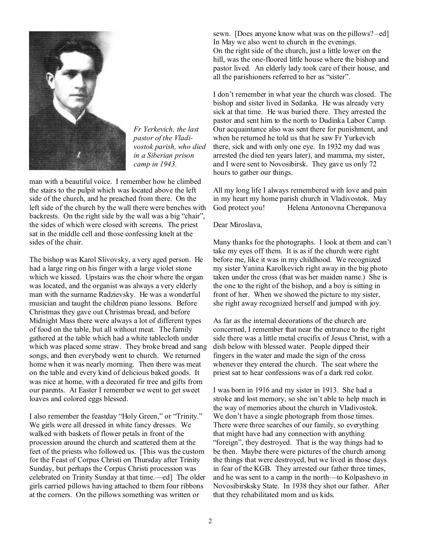

*Fr Yerkevich, the last pastor of the Vladivostok parish, who died in a Siberian prison camp in 1943.*

man with a beautiful voice. I remember how he climbed the stairs to the pulpit which was located above the left side of the church, and he preached from there. On the left side of the church by the wall there were benches with backrests. On the right side by the wall was a big "chair", the sides of which were closed with screens. The priest sat in the middle cell and those confessing knelt at the sides of the chair.

The bishop was Karol Slivovsky, a very aged person. He had a large ring on his finger with a large violet stone which we kissed. Upstairs was the choir where the organ was located, and the organist was always a very elderly man with the surname Radzievsky. He was a wonderful musician and taught the children piano lessons. Before Christmas they gave out Christmas bread, and before Midnight Mass there were always a lot of different types of food on the table, but all without meat. The family gathered at the table which had a white tablecloth under which was placed some straw. They broke bread and sang songs, and then everybody went to church. We returned home when it was nearly morning. Then there was meat on the table and every kind of delicious baked goods. It was nice at home, with a decorated fir tree and gifts from our parents. At Easter I remember we went to get sweet loaves and colored eggs blessed.

I also remember the feastday "Holy Green," or "Trinity." We girls were all dressed in white fancy dresses. We walked with baskets of flower petals in front of the procession around the church and scattered them at the feet of the priests who followed us. [This was the custom for the Feast of Corpus Christi on Thursday after Trinity Sunday, but perhaps the Corpus Christi procession was celebrated on Trinity Sunday at that time.—ed] The older girls carried pillows having attached to them four ribbons at the corners. On the pillows something was written or

sewn. [Does anyone know what was on the pillows? –ed] In May we also went to church in the evenings. On the right side of the church, just a little lower on the hill, was the one-floored little house where the bishop and pastor lived. An elderly lady took care of their house, and all the parishioners referred to her as "sister".

I don't remember in what year the church was closed. The bishop and sister lived in Sedanka. He was already very sick at that time. He was buried there. They arrested the pastor and sent him to the north to Dudinka Labor Camp. Our acquaintance also was sent there for punishment, and when he returned he told us that he saw Fr Yurkevich there, sick and with only one eye. In 1932 my dad was arrested (he died ten years later), and mamma, my sister, and I were sent to Novosibirsk. They gave us only 72 hours to gather our things.

All my long life I always remembered with love and pain in my heart my home parish church in Vladivostok. May God protect you! Helena Antonovna Cherepanova

#### Dear Miroslava,

Many thanks for the photographs. I look at them and can't take my eyes off them. It is as if the church were right before me, like it was in my childhood. We recognized my sister Yanina Karolkevich right away in the big photo taken under the cross (that was her maiden name.) She is the one to the right of the bishop, and a boy is sitting in front of her. When we showed the picture to my sister, she right away recognized herself and jumped with joy.

As far as the internal decorations of the church are concerned, I remember that near the entrance to the right side there was a little metal crucifix of Jesus Christ, with a dish below with blessed water. People dipped their fingers in the water and made the sign of the cross whenever they entered the church. The seat where the priest sat to hear confessions was of a dark red color.

I was born in 1916 and my sister in 1913. She had a stroke and lost memory, so she isn't able to help much in the way of memories about the church in Vladivostok. We don't have a single photograph from those times. There were three searches of our family, so everything that might have had any connection with anything "foreign", they destroyed. That is the way things had to be then. Maybe there were pictures of the church among the things that were destroyed, but we lived in those days in fear of the KGB. They arrested our father three times, and he was sent to a camp in the north—to Kolpashevo in Novosibirsksky State. In 1938 they shot our father. After that they rehabilitated mom and us kids.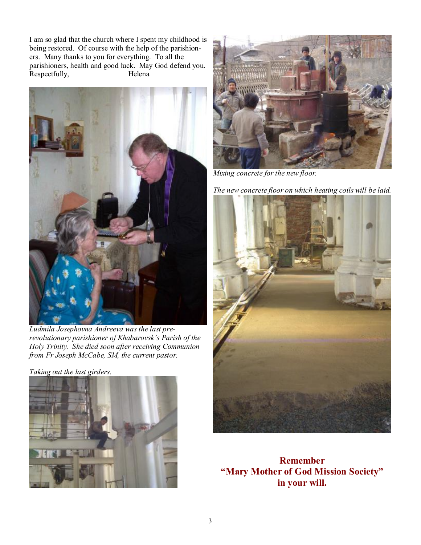I am so glad that the church where I spent my childhood is being restored. Of course with the help of the parishioners. Many thanks to you for everything. To all the parishioners, health and good luck. May God defend you. Respectfully, Helena



*Ludmila Josephovna Andreeva was the last prerevolutionary parishioner of Khabarovsk's Parish of the Holy Trinity. She died soon after receiving Communion from Fr Joseph McCabe, SM, the current pastor.* 

*Taking out the last girders.* 





*Mixing concrete for the new floor.* 

*The new concrete floor on which heating coils will be laid.* 



**Remember "Mary Mother of God Mission Society" in your will.**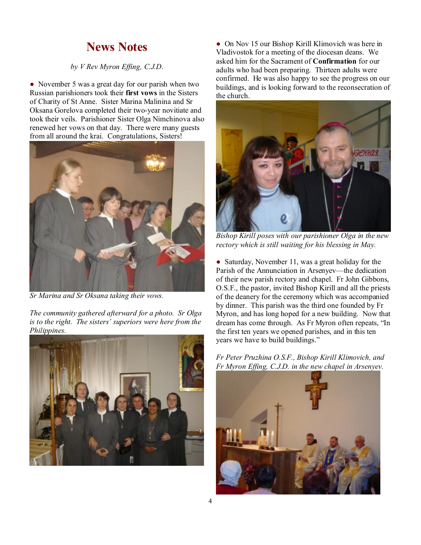### **News Notes**

#### *by V Rev Myron Effing, C.J.D.*

• November 5 was a great day for our parish when two Russian parishioners took their **first vows** in the Sisters of Charity of St Anne. Sister Marina Malinina and Sr Oksana Gorelova completed their two-year novitiate and took their veils. Parishioner Sister Olga Nimchinova also renewed her vows on that day. There were many guests from all around the krai. Congratulations, Sisters!



*Sr Marina and Sr Oksana taking their vows.* 

*The community gathered afterward for a photo. Sr Olga is to the right. The sisters' superiors were here from the Philippines.* 



• On Nov 15 our Bishop Kirill Klimovich was here in Vladivostok for a meeting of the diocesan deans. We asked him for the Sacrament of **Confirmation** for our adults who had been preparing. Thirteen adults were confirmed. He was also happy to see the progress on our buildings, and is looking forward to the reconsecration of the church.



*Bishop Kirill poses with our parishioner Olga in the new rectory which is still waiting for his blessing in May.* 

• Saturday, November 11, was a great holiday for the Parish of the Annunciation in Arsenyev—the dedication of their new parish rectory and chapel. Fr John Gibbons, O.S.F., the pastor, invited Bishop Kirill and all the priests of the deanery for the ceremony which was accompanied by dinner. This parish was the third one founded by Fr Myron, and has long hoped for a new building. Now that dream has come through. As Fr Myron often repeats, "In the first ten years we opened parishes, and in this ten years we have to build buildings."

*Fr Peter Pruzhina O.S.F., Bishop Kirill Klimovich, and Fr Myron Effing, C.J.D. in the new chapel in Arsenyev.* 

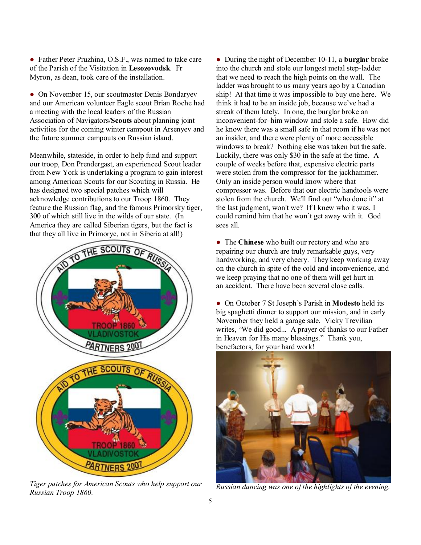• Father Peter Pruzhina, O.S.F., was named to take care of the Parish of the Visitation in **Lesozovodsk**. Fr Myron, as dean, took care of the installation.

• On November 15, our scoutmaster Denis Bondaryev and our American volunteer Eagle scout Brian Roche had a meeting with the local leaders of the Russian Association of Navigators/**Scouts** about planning joint activities for the coming winter campout in Arsenyev and the future summer campouts on Russian island.

Meanwhile, stateside, in order to help fund and support our troop, Don Prendergast, an experienced Scout leader from New York is undertaking a program to gain interest among American Scouts for our Scouting in Russia. He has designed two special patches which will acknowledge contributions to our Troop 1860. They feature the Russian flag, and the famous Primorsky tiger, 300 of which still live in the wilds of our state. (In America they are called Siberian tigers, but the fact is that they all live in Primorye, not in Siberia at all!)



*Tiger patches for American Scouts who help support our Russian Troop 1860.* 

● During the night of December 10-11, a **burglar** broke into the church and stole our longest metal step-ladder that we need to reach the high points on the wall. The ladder was brought to us many years ago by a Canadian ship! At that time it was impossible to buy one here. We think it had to be an inside job, because we've had a streak of them lately. In one, the burglar broke an inconvenient-for–him window and stole a safe. How did he know there was a small safe in that room if he was not an insider, and there were plenty of more accessible windows to break? Nothing else was taken but the safe. Luckily, there was only \$30 in the safe at the time. A couple of weeks before that, expensive electric parts were stolen from the compressor for the jackhammer. Only an inside person would know where that compressor was. Before that our electric handtools were stolen from the church. We'll find out "who done it" at the last judgment, won't we? If I knew who it was, I could remind him that he won't get away with it. God sees all.

● The **Chinese** who built our rectory and who are repairing our church are truly remarkable guys, very hardworking, and very cheery. They keep working away on the church in spite of the cold and inconvenience, and we keep praying that no one of them will get hurt in an accident. There have been several close calls.

● On October 7 St Joseph's Parish in **Modesto** held its big spaghetti dinner to support our mission, and in early November they held a garage sale. Vicky Trevilian writes, "We did good... A prayer of thanks to our Father in Heaven for His many blessings." Thank you, benefactors, for your hard work!



*Russian dancing was one of the highlights of the evening.*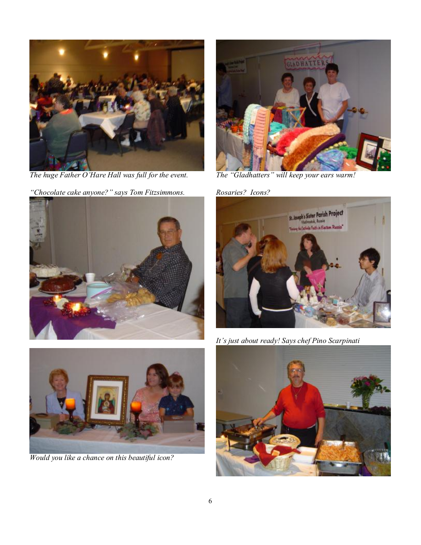

*The huge Father O'Hare Hall was full for the event.* 

*"Chocolate cake anyone?" says Tom Fitzsimmons.* 





*Would you like a chance on this beautiful icon?* 



*The "Gladhatters" will keep your ears warm!* 

*Rosaries? Icons?* 



*It's just about ready! Says chef Pino Scarpinati*

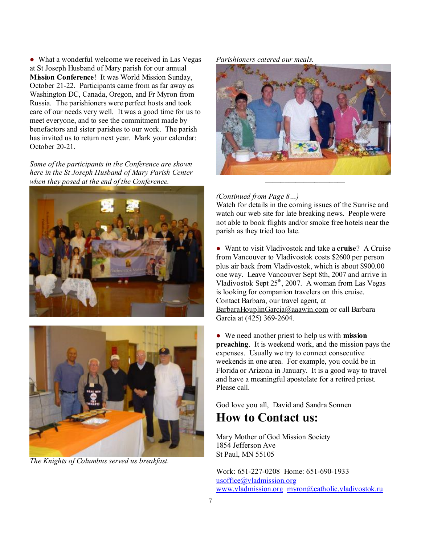• What a wonderful welcome we received in Las Vegas at St Joseph Husband of Mary parish for our annual **Mission Conference**! It was World Mission Sunday, October 21-22. Participants came from as far away as Washington DC, Canada, Oregon, and Fr Myron from Russia. The parishioners were perfect hosts and took care of our needs very well. It was a good time for us to meet everyone, and to see the commitment made by benefactors and sister parishes to our work. The parish has invited us to return next year. Mark your calendar: October 20-21.

*Some of the participants in the Conference are shown here in the St Joseph Husband of Mary Parish Center when they posed at the end of the Conference.* 





*The Knights of Columbus served us breakfast.* 

#### *Parishioners catered our meals.*



#### *(Continued from Page 8…)*

Watch for details in the coming issues of the Sunrise and watch our web site for late breaking news. People were not able to book flights and/or smoke free hotels near the parish as they tried too late.

● Want to visit Vladivostok and take a **cruise**? A Cruise from Vancouver to Vladivostok costs \$2600 per person plus air back from Vladivostok, which is about \$900.00 one way. Leave Vancouver Sept 8th, 2007 and arrive in Vladivostok Sept  $25<sup>th</sup>$ , 2007. A woman from Las Vegas is looking for companion travelers on this cruise. Contact Barbara, our travel agent, at [BarbaraHouplinGarcia@aaawin.com](mailto:BarbaraHouplinGarcia@aaawin.com) or call Barbara Garcia at (425) 369-2604.

● We need another priest to help us with **mission preaching**. It is weekend work, and the mission pays the expenses. Usually we try to connect consecutive weekends in one area. For example, you could be in Florida or Arizona in January. It is a good way to travel and have a meaningful apostolate for a retired priest. Please call.

God love you all, David and Sandra Sonnen

# **How to Contact us:**

Mary Mother of God Mission Society 1854 Jefferson Ave St Paul, MN 55105

Work: 651-227-0208 Home: 651-690-1933 [usoffice@vladmission.org](mailto:usoffice@vladmission.org) [www.vladmission.org](http://www.vladmission.org) [myron@catholic.vladivostok.ru](mailto:myron@catholic.vladivostok.ru)